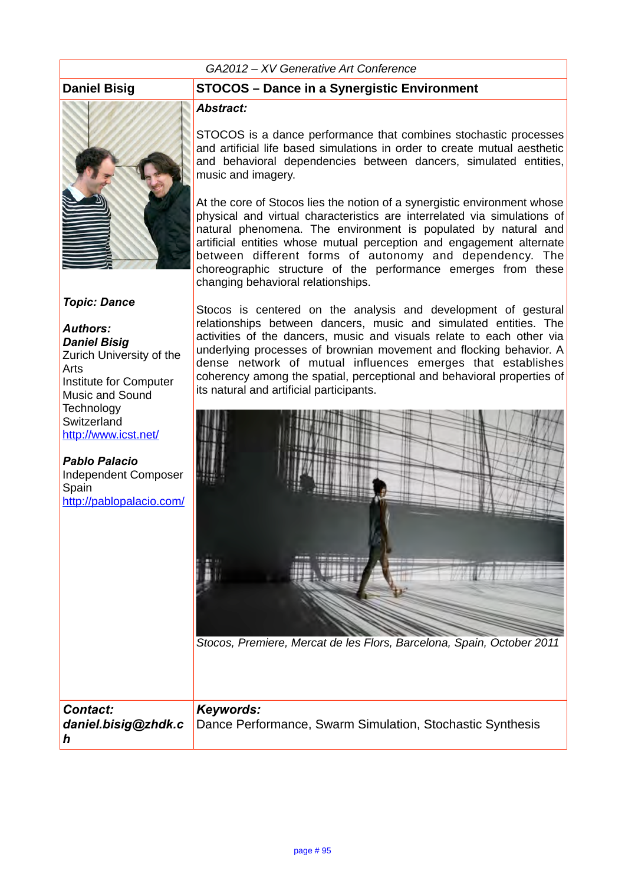#### *GA2012 – XV Generative Art Conference*



*Topic: Dance*

*Authors: Daniel Bisig* Zurich University of the Arts Institute for Computer Music and Sound **Technology Switzerland** http://www.icst.net/

*Pablo Palacio* Independent Composer Spain http://pablopalacio.com/

#### **Daniel Bisig STOCOS – Dance in a Synergistic Environment**

#### *Abstract:*

STOCOS is a dance performance that combines stochastic processes and artificial life based simulations in order to create mutual aesthetic and behavioral dependencies between dancers, simulated entities, music and imagery.

At the core of Stocos lies the notion of a synergistic environment whose physical and virtual characteristics are interrelated via simulations of natural phenomena. The environment is populated by natural and artificial entities whose mutual perception and engagement alternate between different forms of autonomy and dependency. The choreographic structure of the performance emerges from these changing behavioral relationships.

Stocos is centered on the analysis and development of gestural relationships between dancers, music and simulated entities. The activities of the dancers, music and visuals relate to each other via underlying processes of brownian movement and flocking behavior. A dense network of mutual influences emerges that establishes coherency among the spatial, perceptional and behavioral properties of its natural and artificial participants.



*Stocos, Premiere, Mercat de les Flors, Barcelona, Spain, October 2011*

| Contact: | Keywords:                                                                     |
|----------|-------------------------------------------------------------------------------|
|          | daniel.bisig@zhdk.c Dance Performance, Swarm Simulation, Stochastic Synthesis |
|          |                                                                               |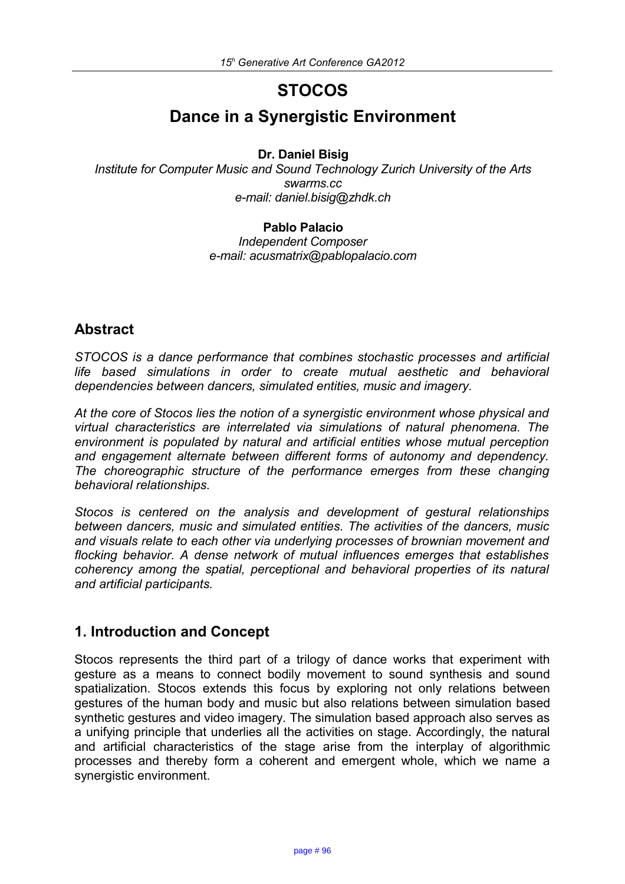# **STOCOS**

# **Dance in a Synergistic Environment**

#### **Dr. Daniel Bisig**

*Institute for Computer Music and Sound Technology Zurich University of the Arts swarms.cc e-mail: daniel.bisig@zhdk.ch*

#### **Pablo Palacio**

*Independent Composer e-mail: acusmatrix@pablopalacio.com*

# **Abstract**

*STOCOS is a dance performance that combines stochastic processes and artificial life based simulations in order to create mutual aesthetic and behavioral dependencies between dancers, simulated entities, music and imagery.*

*At the core of Stocos lies the notion of a synergistic environment whose physical and virtual characteristics are interrelated via simulations of natural phenomena. The environment is populated by natural and artificial entities whose mutual perception and engagement alternate between different forms of autonomy and dependency. The choreographic structure of the performance emerges from these changing behavioral relationships.*

*Stocos is centered on the analysis and development of gestural relationships between dancers, music and simulated entities. The activities of the dancers, music and visuals relate to each other via underlying processes of brownian movement and flocking behavior. A dense network of mutual influences emerges that establishes coherency among the spatial, perceptional and behavioral properties of its natural and artificial participants.*

# **1. Introduction and Concept**

Stocos represents the third part of a trilogy of dance works that experiment with gesture as a means to connect bodily movement to sound synthesis and sound spatialization. Stocos extends this focus by exploring not only relations between gestures of the human body and music but also relations between simulation based synthetic gestures and video imagery. The simulation based approach also serves as a unifying principle that underlies all the activities on stage. Accordingly, the natural and artificial characteristics of the stage arise from the interplay of algorithmic processes and thereby form a coherent and emergent whole, which we name a synergistic environment.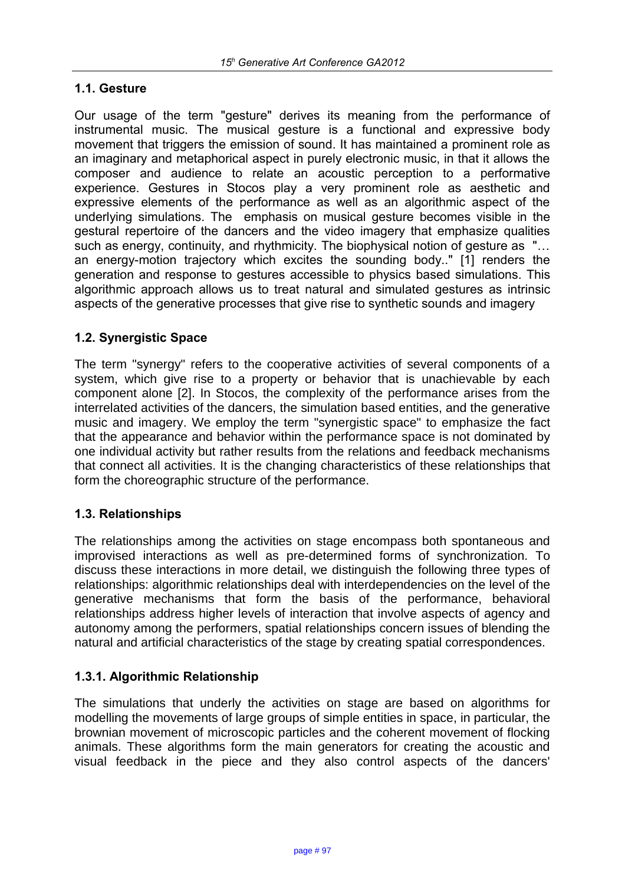#### **1.1. Gesture**

Our usage of the term "gesture" derives its meaning from the performance of instrumental music. The musical gesture is a functional and expressive body movement that triggers the emission of sound. It has maintained a prominent role as an imaginary and metaphorical aspect in purely electronic music, in that it allows the composer and audience to relate an acoustic perception to a performative experience. Gestures in Stocos play a very prominent role as aesthetic and expressive elements of the performance as well as an algorithmic aspect of the underlying simulations. The emphasis on musical gesture becomes visible in the gestural repertoire of the dancers and the video imagery that emphasize qualities such as energy, continuity, and rhythmicity. The biophysical notion of gesture as "... an energy-motion trajectory which excites the sounding body.." [1] renders the generation and response to gestures accessible to physics based simulations. This algorithmic approach allows us to treat natural and simulated gestures as intrinsic aspects of the generative processes that give rise to synthetic sounds and imagery

#### **1.2. Synergistic Space**

The term "synergy" refers to the cooperative activities of several components of a system, which give rise to a property or behavior that is unachievable by each component alone [2]. In Stocos, the complexity of the performance arises from the interrelated activities of the dancers, the simulation based entities, and the generative music and imagery. We employ the term "synergistic space" to emphasize the fact that the appearance and behavior within the performance space is not dominated by one individual activity but rather results from the relations and feedback mechanisms that connect all activities. It is the changing characteristics of these relationships that form the choreographic structure of the performance.

### **1.3. Relationships**

The relationships among the activities on stage encompass both spontaneous and improvised interactions as well as pre-determined forms of synchronization. To discuss these interactions in more detail, we distinguish the following three types of relationships: algorithmic relationships deal with interdependencies on the level of the generative mechanisms that form the basis of the performance, behavioral relationships address higher levels of interaction that involve aspects of agency and autonomy among the performers, spatial relationships concern issues of blending the natural and artificial characteristics of the stage by creating spatial correspondences.

#### **1.3.1. Algorithmic Relationship**

The simulations that underly the activities on stage are based on algorithms for modelling the movements of large groups of simple entities in space, in particular, the brownian movement of microscopic particles and the coherent movement of flocking animals. These algorithms form the main generators for creating the acoustic and visual feedback in the piece and they also control aspects of the dancers'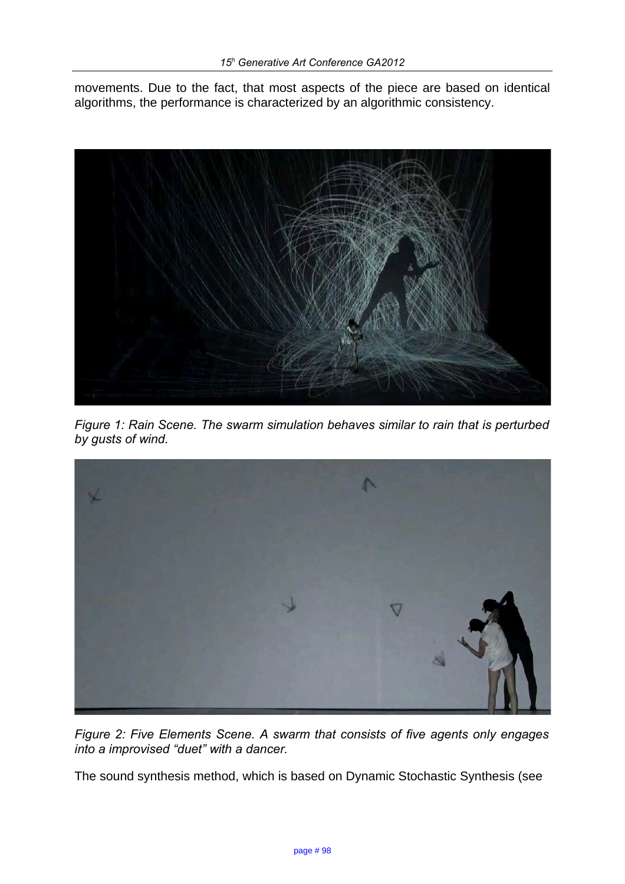movements. Due to the fact, that most aspects of the piece are based on identical algorithms, the performance is characterized by an algorithmic consistency.



*Figure 1: Rain Scene. The swarm simulation behaves similar to rain that is perturbed by gusts of wind.*



*Figure 2: Five Elements Scene. A swarm that consists of five agents only engages into a improvised "duet" with a dancer.* 

The sound synthesis method, which is based on Dynamic Stochastic Synthesis (see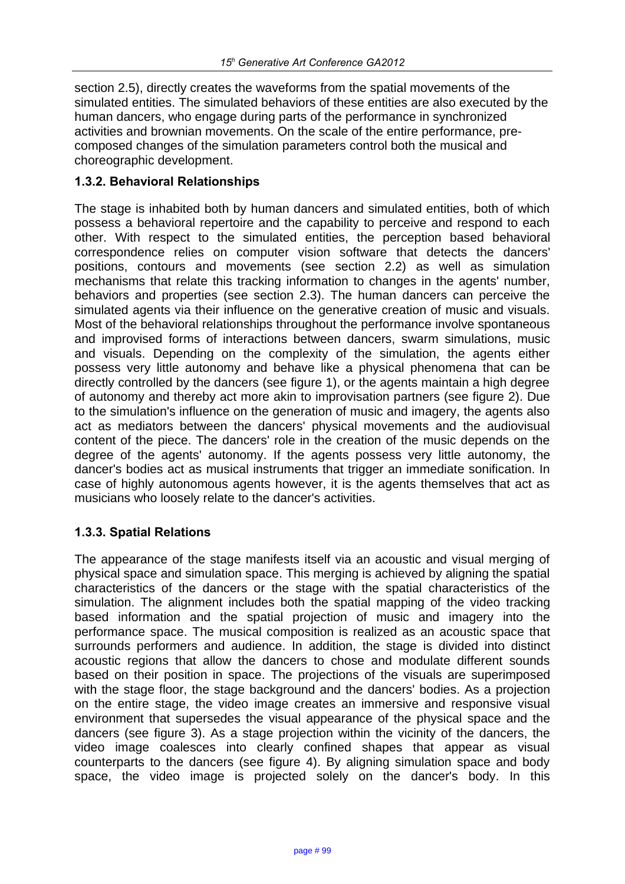section 2.5), directly creates the waveforms from the spatial movements of the simulated entities. The simulated behaviors of these entities are also executed by the human dancers, who engage during parts of the performance in synchronized activities and brownian movements. On the scale of the entire performance, precomposed changes of the simulation parameters control both the musical and choreographic development.

#### **1.3.2. Behavioral Relationships**

The stage is inhabited both by human dancers and simulated entities, both of which possess a behavioral repertoire and the capability to perceive and respond to each other. With respect to the simulated entities, the perception based behavioral correspondence relies on computer vision software that detects the dancers' positions, contours and movements (see section 2.2) as well as simulation mechanisms that relate this tracking information to changes in the agents' number, behaviors and properties (see section 2.3). The human dancers can perceive the simulated agents via their influence on the generative creation of music and visuals. Most of the behavioral relationships throughout the performance involve spontaneous and improvised forms of interactions between dancers, swarm simulations, music and visuals. Depending on the complexity of the simulation, the agents either possess very little autonomy and behave like a physical phenomena that can be directly controlled by the dancers (see figure 1), or the agents maintain a high degree of autonomy and thereby act more akin to improvisation partners (see figure 2). Due to the simulation's influence on the generation of music and imagery, the agents also act as mediators between the dancers' physical movements and the audiovisual content of the piece. The dancers' role in the creation of the music depends on the degree of the agents' autonomy. If the agents possess very little autonomy, the dancer's bodies act as musical instruments that trigger an immediate sonification. In case of highly autonomous agents however, it is the agents themselves that act as musicians who loosely relate to the dancer's activities.

### **1.3.3. Spatial Relations**

The appearance of the stage manifests itself via an acoustic and visual merging of physical space and simulation space. This merging is achieved by aligning the spatial characteristics of the dancers or the stage with the spatial characteristics of the simulation. The alignment includes both the spatial mapping of the video tracking based information and the spatial projection of music and imagery into the performance space. The musical composition is realized as an acoustic space that surrounds performers and audience. In addition, the stage is divided into distinct acoustic regions that allow the dancers to chose and modulate different sounds based on their position in space. The projections of the visuals are superimposed with the stage floor, the stage background and the dancers' bodies. As a projection on the entire stage, the video image creates an immersive and responsive visual environment that supersedes the visual appearance of the physical space and the dancers (see figure 3). As a stage projection within the vicinity of the dancers, the video image coalesces into clearly confined shapes that appear as visual counterparts to the dancers (see figure 4). By aligning simulation space and body space, the video image is projected solely on the dancer's body. In this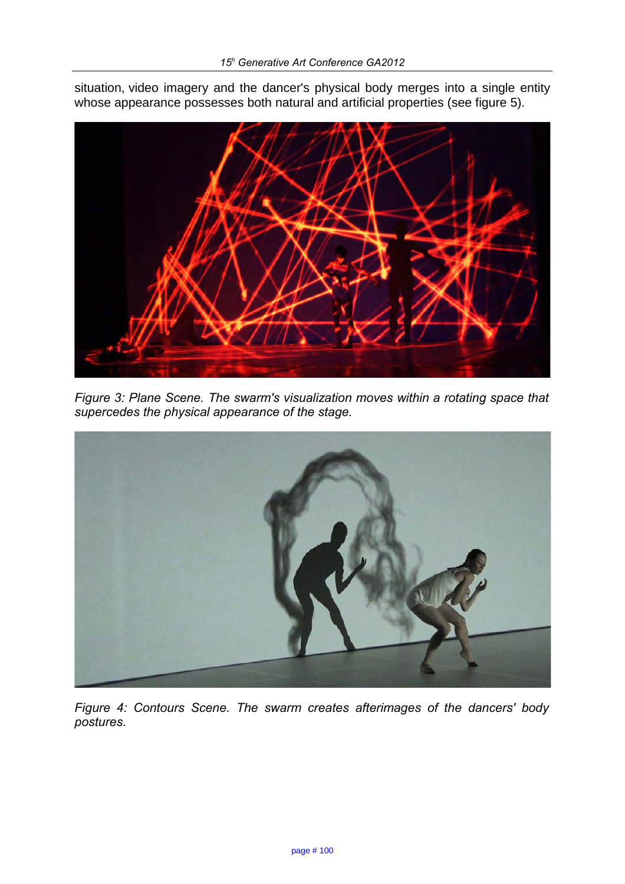

situation, video imagery and the dancer's physical body merges into a single entity whose appearance possesses both natural and artificial properties (see figure 5).

*Figure 3: Plane Scene. The swarm's visualization moves within a rotating space that supercedes the physical appearance of the stage.* 



*Figure 4: Contours Scene. The swarm creates afterimages of the dancers' body postures.*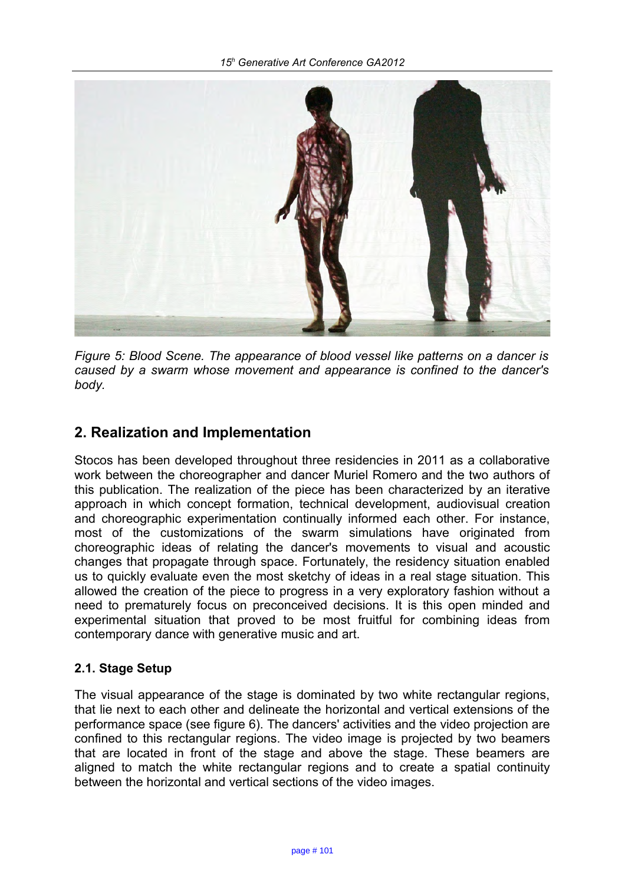

*Figure 5: Blood Scene. The appearance of blood vessel like patterns on a dancer is caused by a swarm whose movement and appearance is confined to the dancer's body.* 

# **2. Realization and Implementation**

Stocos has been developed throughout three residencies in 2011 as a collaborative work between the choreographer and dancer Muriel Romero and the two authors of this publication. The realization of the piece has been characterized by an iterative approach in which concept formation, technical development, audiovisual creation and choreographic experimentation continually informed each other. For instance, most of the customizations of the swarm simulations have originated from choreographic ideas of relating the dancer's movements to visual and acoustic changes that propagate through space. Fortunately, the residency situation enabled us to quickly evaluate even the most sketchy of ideas in a real stage situation. This allowed the creation of the piece to progress in a very exploratory fashion without a need to prematurely focus on preconceived decisions. It is this open minded and experimental situation that proved to be most fruitful for combining ideas from contemporary dance with generative music and art.

#### **2.1. Stage Setup**

The visual appearance of the stage is dominated by two white rectangular regions, that lie next to each other and delineate the horizontal and vertical extensions of the performance space (see figure 6). The dancers' activities and the video projection are confined to this rectangular regions. The video image is projected by two beamers that are located in front of the stage and above the stage. These beamers are aligned to match the white rectangular regions and to create a spatial continuity between the horizontal and vertical sections of the video images.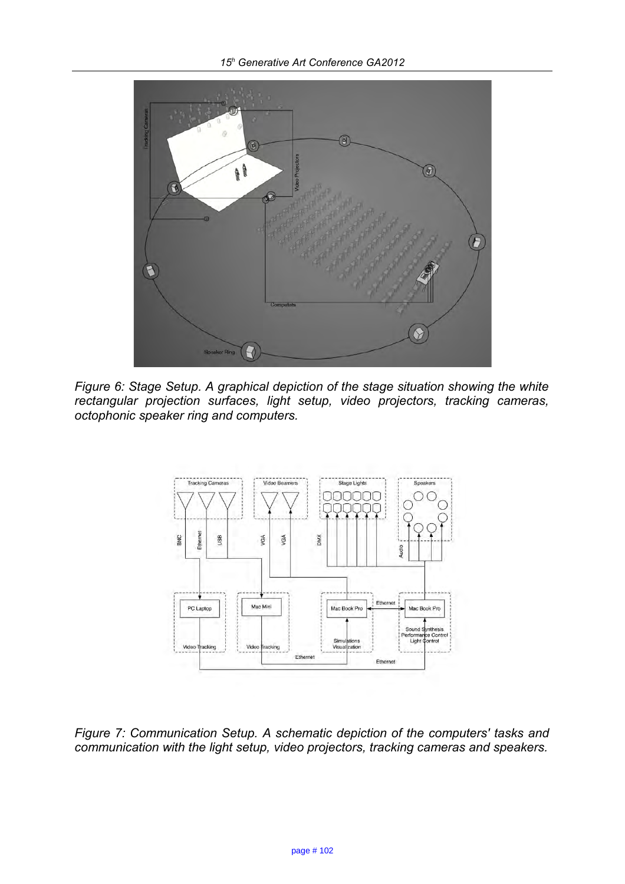

*Figure 6: Stage Setup. A graphical depiction of the stage situation showing the white rectangular projection surfaces, light setup, video projectors, tracking cameras, octophonic speaker ring and computers.*



*Figure 7: Communication Setup. A schematic depiction of the computers' tasks and communication with the light setup, video projectors, tracking cameras and speakers.*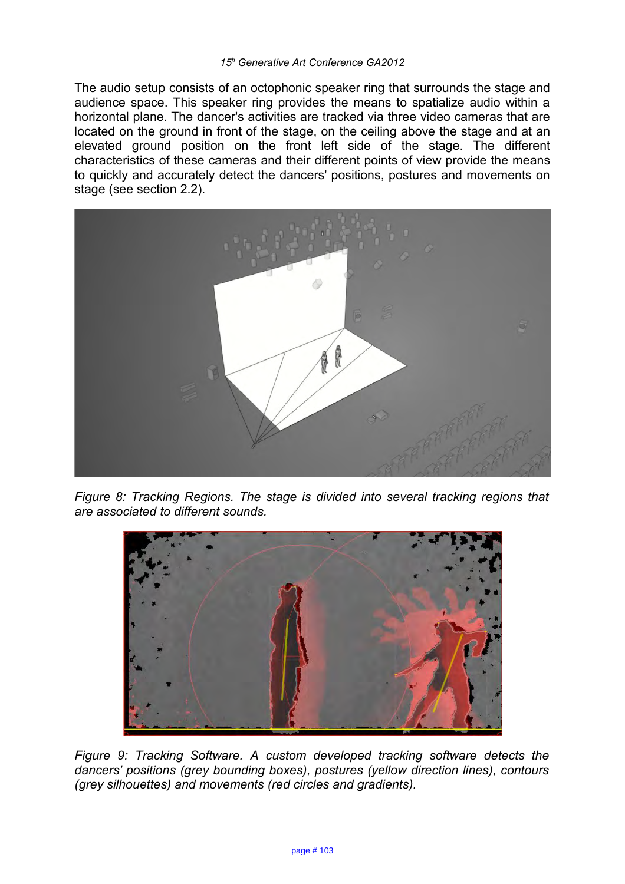The audio setup consists of an octophonic speaker ring that surrounds the stage and audience space. This speaker ring provides the means to spatialize audio within a horizontal plane. The dancer's activities are tracked via three video cameras that are located on the ground in front of the stage, on the ceiling above the stage and at an elevated ground position on the front left side of the stage. The different characteristics of these cameras and their different points of view provide the means to quickly and accurately detect the dancers' positions, postures and movements on stage (see section 2.2).



*Figure 8: Tracking Regions. The stage is divided into several tracking regions that are associated to different sounds.* 



*Figure 9: Tracking Software. A custom developed tracking software detects the dancers' positions (grey bounding boxes), postures (yellow direction lines), contours (grey silhouettes) and movements (red circles and gradients).*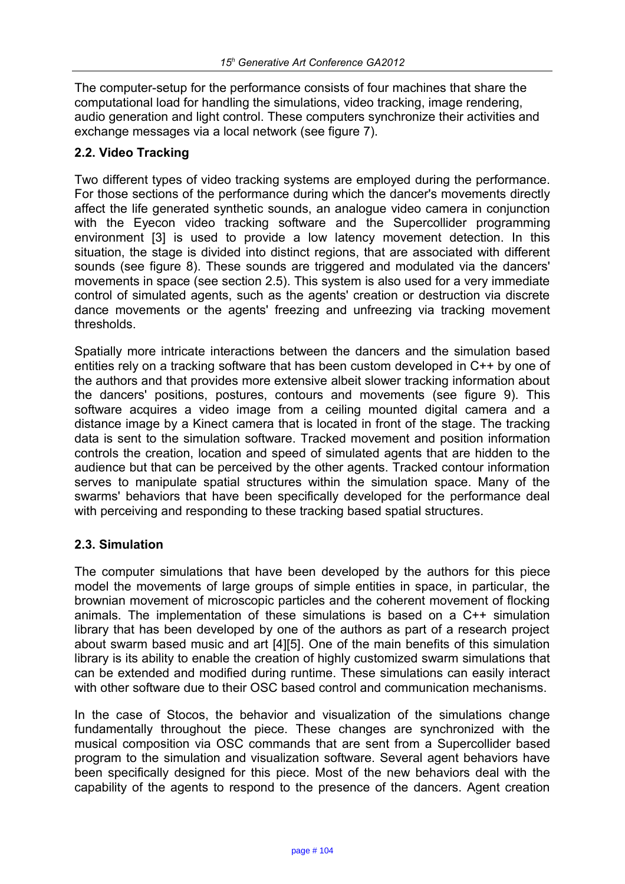The computer-setup for the performance consists of four machines that share the computational load for handling the simulations, video tracking, image rendering, audio generation and light control. These computers synchronize their activities and exchange messages via a local network (see figure 7).

#### **2.2. Video Tracking**

Two different types of video tracking systems are employed during the performance. For those sections of the performance during which the dancer's movements directly affect the life generated synthetic sounds, an analogue video camera in conjunction with the Eyecon video tracking software and the Supercollider programming environment [3] is used to provide a low latency movement detection. In this situation, the stage is divided into distinct regions, that are associated with different sounds (see figure 8). These sounds are triggered and modulated via the dancers' movements in space (see section 2.5). This system is also used for a very immediate control of simulated agents, such as the agents' creation or destruction via discrete dance movements or the agents' freezing and unfreezing via tracking movement thresholds.

Spatially more intricate interactions between the dancers and the simulation based entities rely on a tracking software that has been custom developed in C++ by one of the authors and that provides more extensive albeit slower tracking information about the dancers' positions, postures, contours and movements (see figure 9). This software acquires a video image from a ceiling mounted digital camera and a distance image by a Kinect camera that is located in front of the stage. The tracking data is sent to the simulation software. Tracked movement and position information controls the creation, location and speed of simulated agents that are hidden to the audience but that can be perceived by the other agents. Tracked contour information serves to manipulate spatial structures within the simulation space. Many of the swarms' behaviors that have been specifically developed for the performance deal with perceiving and responding to these tracking based spatial structures.

#### **2.3. Simulation**

The computer simulations that have been developed by the authors for this piece model the movements of large groups of simple entities in space, in particular, the brownian movement of microscopic particles and the coherent movement of flocking animals. The implementation of these simulations is based on a C++ simulation library that has been developed by one of the authors as part of a research project about swarm based music and art [4][5]. One of the main benefits of this simulation library is its ability to enable the creation of highly customized swarm simulations that can be extended and modified during runtime. These simulations can easily interact with other software due to their OSC based control and communication mechanisms.

In the case of Stocos, the behavior and visualization of the simulations change fundamentally throughout the piece. These changes are synchronized with the musical composition via OSC commands that are sent from a Supercollider based program to the simulation and visualization software. Several agent behaviors have been specifically designed for this piece. Most of the new behaviors deal with the capability of the agents to respond to the presence of the dancers. Agent creation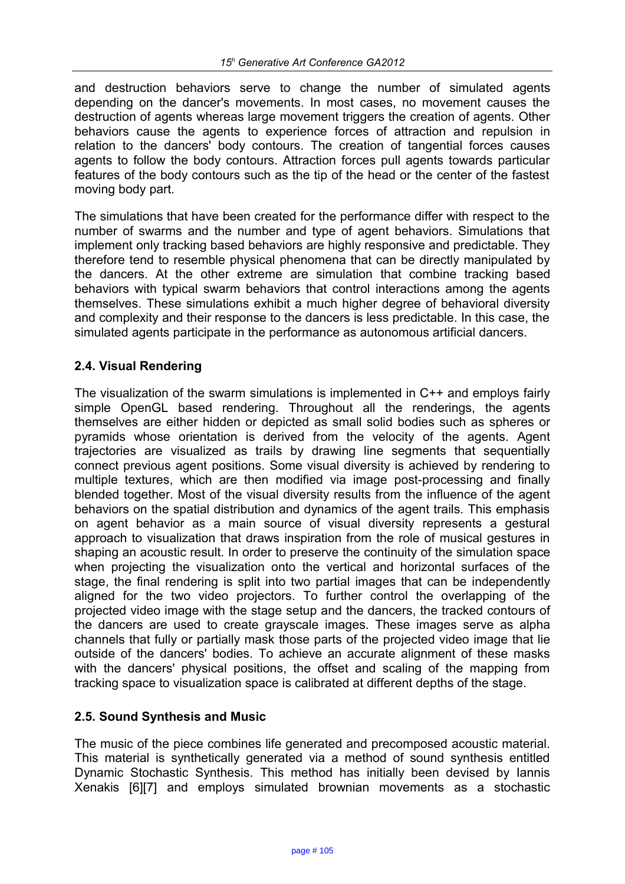and destruction behaviors serve to change the number of simulated agents depending on the dancer's movements. In most cases, no movement causes the destruction of agents whereas large movement triggers the creation of agents. Other behaviors cause the agents to experience forces of attraction and repulsion in relation to the dancers' body contours. The creation of tangential forces causes agents to follow the body contours. Attraction forces pull agents towards particular features of the body contours such as the tip of the head or the center of the fastest moving body part.

The simulations that have been created for the performance differ with respect to the number of swarms and the number and type of agent behaviors. Simulations that implement only tracking based behaviors are highly responsive and predictable. They therefore tend to resemble physical phenomena that can be directly manipulated by the dancers. At the other extreme are simulation that combine tracking based behaviors with typical swarm behaviors that control interactions among the agents themselves. These simulations exhibit a much higher degree of behavioral diversity and complexity and their response to the dancers is less predictable. In this case, the simulated agents participate in the performance as autonomous artificial dancers.

### **2.4. Visual Rendering**

The visualization of the swarm simulations is implemented in C++ and employs fairly simple OpenGL based rendering. Throughout all the renderings, the agents themselves are either hidden or depicted as small solid bodies such as spheres or pyramids whose orientation is derived from the velocity of the agents. Agent trajectories are visualized as trails by drawing line segments that sequentially connect previous agent positions. Some visual diversity is achieved by rendering to multiple textures, which are then modified via image post-processing and finally blended together. Most of the visual diversity results from the influence of the agent behaviors on the spatial distribution and dynamics of the agent trails. This emphasis on agent behavior as a main source of visual diversity represents a gestural approach to visualization that draws inspiration from the role of musical gestures in shaping an acoustic result. In order to preserve the continuity of the simulation space when projecting the visualization onto the vertical and horizontal surfaces of the stage, the final rendering is split into two partial images that can be independently aligned for the two video projectors. To further control the overlapping of the projected video image with the stage setup and the dancers, the tracked contours of the dancers are used to create grayscale images. These images serve as alpha channels that fully or partially mask those parts of the projected video image that lie outside of the dancers' bodies. To achieve an accurate alignment of these masks with the dancers' physical positions, the offset and scaling of the mapping from tracking space to visualization space is calibrated at different depths of the stage.

#### **2.5. Sound Synthesis and Music**

The music of the piece combines life generated and precomposed acoustic material. This material is synthetically generated via a method of sound synthesis entitled Dynamic Stochastic Synthesis. This method has initially been devised by Iannis Xenakis [6][7] and employs simulated brownian movements as a stochastic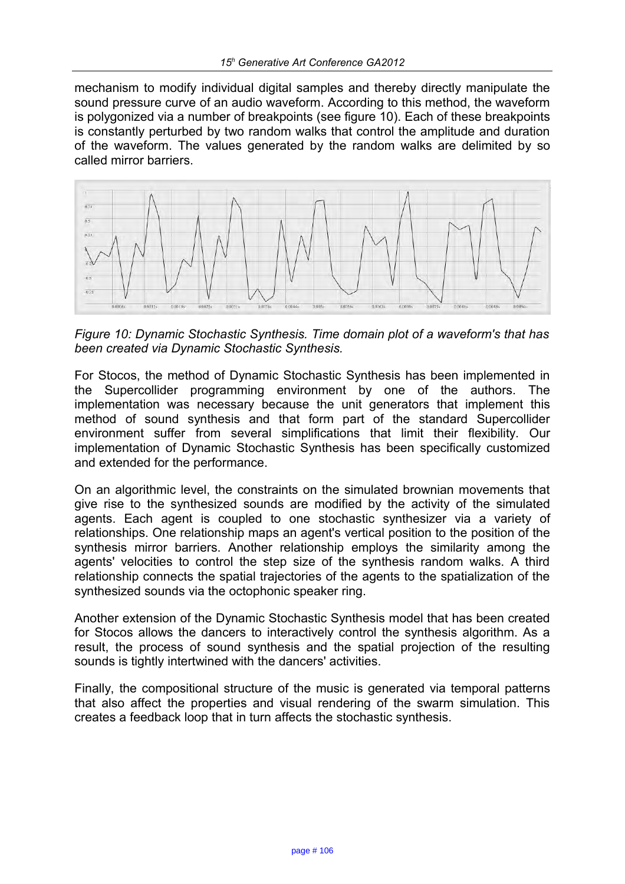mechanism to modify individual digital samples and thereby directly manipulate the sound pressure curve of an audio waveform. According to this method, the waveform is polygonized via a number of breakpoints (see figure 10). Each of these breakpoints is constantly perturbed by two random walks that control the amplitude and duration of the waveform. The values generated by the random walks are delimited by so called mirror barriers.



*Figure 10: Dynamic Stochastic Synthesis. Time domain plot of a waveform's that has been created via Dynamic Stochastic Synthesis.*

For Stocos, the method of Dynamic Stochastic Synthesis has been implemented in the Supercollider programming environment by one of the authors. The implementation was necessary because the unit generators that implement this method of sound synthesis and that form part of the standard Supercollider environment suffer from several simplifications that limit their flexibility. Our implementation of Dynamic Stochastic Synthesis has been specifically customized and extended for the performance.

On an algorithmic level, the constraints on the simulated brownian movements that give rise to the synthesized sounds are modified by the activity of the simulated agents. Each agent is coupled to one stochastic synthesizer via a variety of relationships. One relationship maps an agent's vertical position to the position of the synthesis mirror barriers. Another relationship employs the similarity among the agents' velocities to control the step size of the synthesis random walks. A third relationship connects the spatial trajectories of the agents to the spatialization of the synthesized sounds via the octophonic speaker ring.

Another extension of the Dynamic Stochastic Synthesis model that has been created for Stocos allows the dancers to interactively control the synthesis algorithm. As a result, the process of sound synthesis and the spatial projection of the resulting sounds is tightly intertwined with the dancers' activities.

Finally, the compositional structure of the music is generated via temporal patterns that also affect the properties and visual rendering of the swarm simulation. This creates a feedback loop that in turn affects the stochastic synthesis.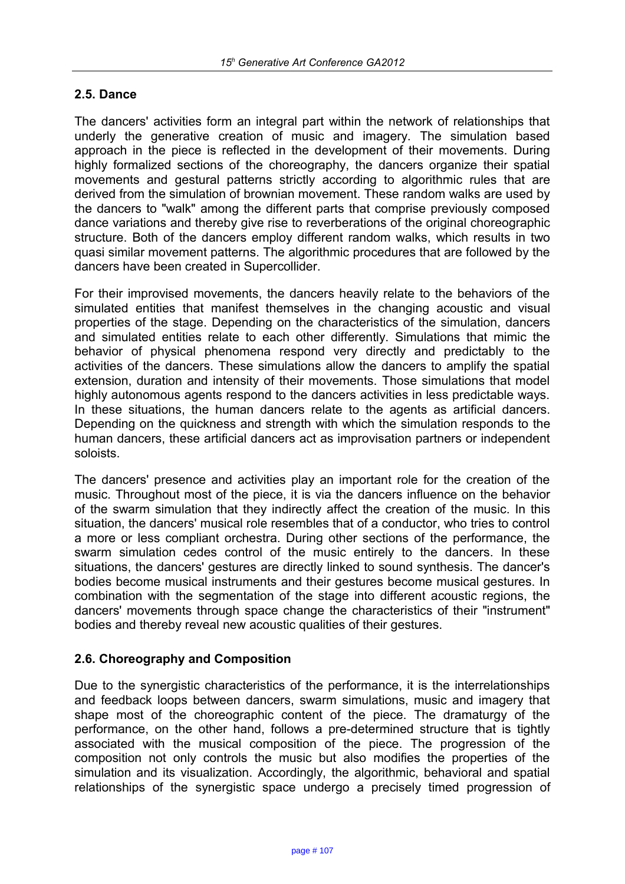#### **2.5. Dance**

The dancers' activities form an integral part within the network of relationships that underly the generative creation of music and imagery. The simulation based approach in the piece is reflected in the development of their movements. During highly formalized sections of the choreography, the dancers organize their spatial movements and gestural patterns strictly according to algorithmic rules that are derived from the simulation of brownian movement. These random walks are used by the dancers to "walk" among the different parts that comprise previously composed dance variations and thereby give rise to reverberations of the original choreographic structure. Both of the dancers employ different random walks, which results in two quasi similar movement patterns. The algorithmic procedures that are followed by the dancers have been created in Supercollider.

For their improvised movements, the dancers heavily relate to the behaviors of the simulated entities that manifest themselves in the changing acoustic and visual properties of the stage. Depending on the characteristics of the simulation, dancers and simulated entities relate to each other differently. Simulations that mimic the behavior of physical phenomena respond very directly and predictably to the activities of the dancers. These simulations allow the dancers to amplify the spatial extension, duration and intensity of their movements. Those simulations that model highly autonomous agents respond to the dancers activities in less predictable ways. In these situations, the human dancers relate to the agents as artificial dancers. Depending on the quickness and strength with which the simulation responds to the human dancers, these artificial dancers act as improvisation partners or independent soloists.

The dancers' presence and activities play an important role for the creation of the music. Throughout most of the piece, it is via the dancers influence on the behavior of the swarm simulation that they indirectly affect the creation of the music. In this situation, the dancers' musical role resembles that of a conductor, who tries to control a more or less compliant orchestra. During other sections of the performance, the swarm simulation cedes control of the music entirely to the dancers. In these situations, the dancers' gestures are directly linked to sound synthesis. The dancer's bodies become musical instruments and their gestures become musical gestures. In combination with the segmentation of the stage into different acoustic regions, the dancers' movements through space change the characteristics of their "instrument" bodies and thereby reveal new acoustic qualities of their gestures.

#### **2.6. Choreography and Composition**

Due to the synergistic characteristics of the performance, it is the interrelationships and feedback loops between dancers, swarm simulations, music and imagery that shape most of the choreographic content of the piece. The dramaturgy of the performance, on the other hand, follows a pre-determined structure that is tightly associated with the musical composition of the piece. The progression of the composition not only controls the music but also modifies the properties of the simulation and its visualization. Accordingly, the algorithmic, behavioral and spatial relationships of the synergistic space undergo a precisely timed progression of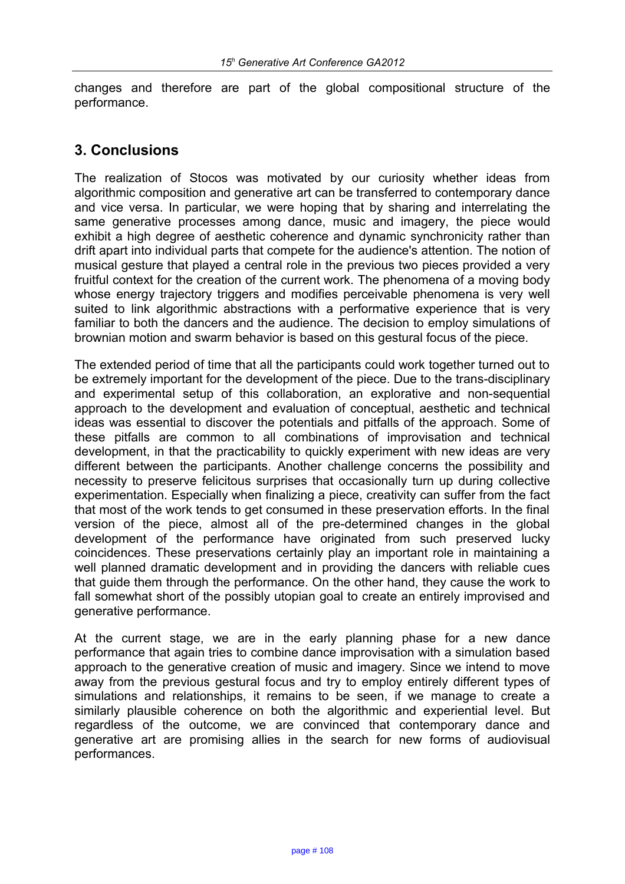changes and therefore are part of the global compositional structure of the performance.

# **3. Conclusions**

The realization of Stocos was motivated by our curiosity whether ideas from algorithmic composition and generative art can be transferred to contemporary dance and vice versa. In particular, we were hoping that by sharing and interrelating the same generative processes among dance, music and imagery, the piece would exhibit a high degree of aesthetic coherence and dynamic synchronicity rather than drift apart into individual parts that compete for the audience's attention. The notion of musical gesture that played a central role in the previous two pieces provided a very fruitful context for the creation of the current work. The phenomena of a moving body whose energy trajectory triggers and modifies perceivable phenomena is very well suited to link algorithmic abstractions with a performative experience that is very familiar to both the dancers and the audience. The decision to employ simulations of brownian motion and swarm behavior is based on this gestural focus of the piece.

The extended period of time that all the participants could work together turned out to be extremely important for the development of the piece. Due to the trans-disciplinary and experimental setup of this collaboration, an explorative and non-sequential approach to the development and evaluation of conceptual, aesthetic and technical ideas was essential to discover the potentials and pitfalls of the approach. Some of these pitfalls are common to all combinations of improvisation and technical development, in that the practicability to quickly experiment with new ideas are very different between the participants. Another challenge concerns the possibility and necessity to preserve felicitous surprises that occasionally turn up during collective experimentation. Especially when finalizing a piece, creativity can suffer from the fact that most of the work tends to get consumed in these preservation efforts. In the final version of the piece, almost all of the pre-determined changes in the global development of the performance have originated from such preserved lucky coincidences. These preservations certainly play an important role in maintaining a well planned dramatic development and in providing the dancers with reliable cues that guide them through the performance. On the other hand, they cause the work to fall somewhat short of the possibly utopian goal to create an entirely improvised and generative performance.

At the current stage, we are in the early planning phase for a new dance performance that again tries to combine dance improvisation with a simulation based approach to the generative creation of music and imagery. Since we intend to move away from the previous gestural focus and try to employ entirely different types of simulations and relationships, it remains to be seen, if we manage to create a similarly plausible coherence on both the algorithmic and experiential level. But regardless of the outcome, we are convinced that contemporary dance and generative art are promising allies in the search for new forms of audiovisual performances.